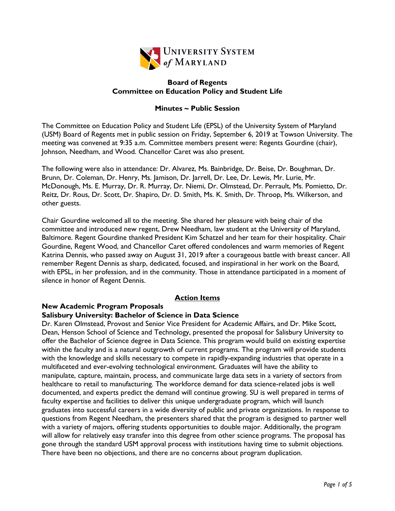

#### **Board of Regents Committee on Education Policy and Student Life**

## **Minutes ~ Public Session**

The Committee on Education Policy and Student Life (EPSL) of the University System of Maryland (USM) Board of Regents met in public session on Friday, September 6, 2019 at Towson University. The meeting was convened at 9:35 a.m. Committee members present were: Regents Gourdine (chair), Johnson, Needham, and Wood. Chancellor Caret was also present.

The following were also in attendance: Dr. Alvarez, Ms. Bainbridge, Dr. Beise, Dr. Boughman, Dr. Brunn, Dr. Coleman, Dr. Henry, Ms. Jamison, Dr. Jarrell, Dr. Lee, Dr. Lewis, Mr. Lurie, Mr. McDonough, Ms. E. Murray, Dr. R. Murray, Dr. Niemi, Dr. Olmstead, Dr. Perrault, Ms. Pomietto, Dr. Reitz, Dr. Rous, Dr. Scott, Dr. Shapiro, Dr. D. Smith, Ms. K. Smith, Dr. Throop, Ms. Wilkerson, and other guests.

Chair Gourdine welcomed all to the meeting. She shared her pleasure with being chair of the committee and introduced new regent, Drew Needham, law student at the University of Maryland, Baltimore. Regent Gourdine thanked President Kim Schatzel and her team for their hospitality. Chair Gourdine, Regent Wood, and Chancellor Caret offered condolences and warm memories of Regent Katrina Dennis, who passed away on August 31, 2019 after a courageous battle with breast cancer. All remember Regent Dennis as sharp, dedicated, focused, and inspirational in her work on the Board, with EPSL, in her profession, and in the community. Those in attendance participated in a moment of silence in honor of Regent Dennis.

# **Action Items**

## **New Academic Program Proposals**

## **Salisbury University: Bachelor of Science in Data Science**

Dr. Karen Olmstead, Provost and Senior Vice President for Academic Affairs, and Dr. Mike Scott, Dean, Henson School of Science and Technology, presented the proposal for Salisbury University to offer the Bachelor of Science degree in Data Science. This program would build on existing expertise within the faculty and is a natural outgrowth of current programs. The program will provide students with the knowledge and skills necessary to compete in rapidly-expanding industries that operate in a multifaceted and ever-evolving technological environment. Graduates will have the ability to manipulate, capture, maintain, process, and communicate large data sets in a variety of sectors from healthcare to retail to manufacturing. The workforce demand for data science-related jobs is well documented, and experts predict the demand will continue growing. SU is well prepared in terms of faculty expertise and facilities to deliver this unique undergraduate program, which will launch graduates into successful careers in a wide diversity of public and private organizations. In response to questions from Regent Needham, the presenters shared that the program is designed to partner well with a variety of majors, offering students opportunities to double major. Additionally, the program will allow for relatively easy transfer into this degree from other science programs. The proposal has gone through the standard USM approval process with institutions having time to submit objections. There have been no objections, and there are no concerns about program duplication.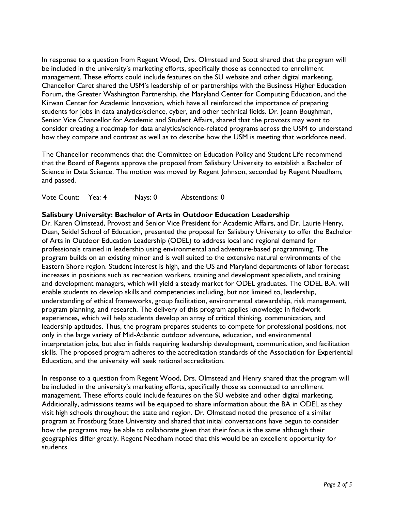In response to a question from Regent Wood, Drs. Olmstead and Scott shared that the program will be included in the university's marketing efforts, specifically those as connected to enrollment management. These efforts could include features on the SU website and other digital marketing. Chancellor Caret shared the USM's leadership of or partnerships with the Business Higher Education Forum, the Greater Washington Partnership, the Maryland Center for Computing Education, and the Kirwan Center for Academic Innovation, which have all reinforced the importance of preparing students for jobs in data analytics/science, cyber, and other technical fields. Dr. Joann Boughman, Senior Vice Chancellor for Academic and Student Affairs, shared that the provosts may want to consider creating a roadmap for data analytics/science-related programs across the USM to understand how they compare and contrast as well as to describe how the USM is meeting that workforce need.

The Chancellor recommends that the Committee on Education Policy and Student Life recommend that the Board of Regents approve the proposal from Salisbury University to establish a Bachelor of Science in Data Science. The motion was moved by Regent Johnson, seconded by Regent Needham, and passed.

Vote Count: Yea: 4 Nays: 0 Abstentions: 0

## **Salisbury University: Bachelor of Arts in Outdoor Education Leadership**

Dr. Karen Olmstead, Provost and Senior Vice President for Academic Affairs, and Dr. Laurie Henry, Dean, Seidel School of Education, presented the proposal for Salisbury University to offer the Bachelor of Arts in Outdoor Education Leadership (ODEL) to address local and regional demand for professionals trained in leadership using environmental and adventure-based programming. The program builds on an existing minor and is well suited to the extensive natural environments of the Eastern Shore region. Student interest is high, and the US and Maryland departments of labor forecast increases in positions such as recreation workers, training and development specialists, and training and development managers, which will yield a steady market for ODEL graduates. The ODEL B.A. will enable students to develop skills and competencies including, but not limited to, leadership, understanding of ethical frameworks, group facilitation, environmental stewardship, risk management, program planning, and research. The delivery of this program applies knowledge in fieldwork experiences, which will help students develop an array of critical thinking, communication, and leadership aptitudes. Thus, the program prepares students to compete for professional positions, not only in the large variety of Mid-Atlantic outdoor adventure, education, and environmental interpretation jobs, but also in fields requiring leadership development, communication, and facilitation skills. The proposed program adheres to the accreditation standards of the Association for Experiential Education, and the university will seek national accreditation.

In response to a question from Regent Wood, Drs. Olmstead and Henry shared that the program will be included in the university's marketing efforts, specifically those as connected to enrollment management. These efforts could include features on the SU website and other digital marketing. Additionally, admissions teams will be equipped to share information about the BA in ODEL as they visit high schools throughout the state and region. Dr. Olmstead noted the presence of a similar program at Frostburg State University and shared that initial conversations have begun to consider how the programs may be able to collaborate given that their focus is the same although their geographies differ greatly. Regent Needham noted that this would be an excellent opportunity for students.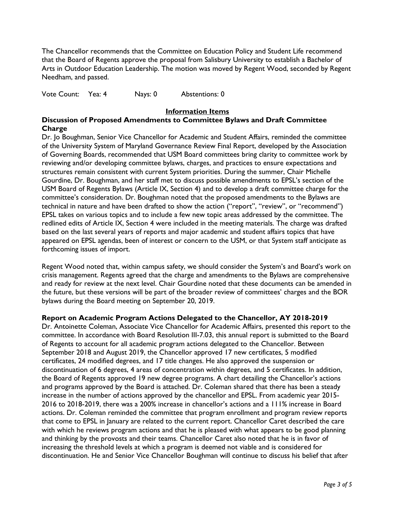The Chancellor recommends that the Committee on Education Policy and Student Life recommend that the Board of Regents approve the proposal from Salisbury University to establish a Bachelor of Arts in Outdoor Education Leadership. The motion was moved by Regent Wood, seconded by Regent Needham, and passed.

Vote Count: Yea: 4 Nays: 0 Abstentions: 0

#### **Information Items**

#### **Discussion of Proposed Amendments to Committee Bylaws and Draft Committee Charge**

Dr. Jo Boughman, Senior Vice Chancellor for Academic and Student Affairs, reminded the committee of the University System of Maryland Governance Review Final Report, developed by the Association of Governing Boards, recommended that USM Board committees bring clarity to committee work by reviewing and/or developing committee bylaws, charges, and practices to ensure expectations and structures remain consistent with current System priorities. During the summer, Chair Michelle Gourdine, Dr. Boughman, and her staff met to discuss possible amendments to EPSL's section of the USM Board of Regents Bylaws (Article IX, Section 4) and to develop a draft committee charge for the committee's consideration. Dr. Boughman noted that the proposed amendments to the Bylaws are technical in nature and have been drafted to show the action ("report", "review", or "recommend") EPSL takes on various topics and to include a few new topic areas addressed by the committee. The redlined edits of Article IX, Section 4 were included in the meeting materials. The charge was drafted based on the last several years of reports and major academic and student affairs topics that have appeared on EPSL agendas, been of interest or concern to the USM, or that System staff anticipate as forthcoming issues of import.

Regent Wood noted that, within campus safety, we should consider the System's and Board's work on crisis management. Regents agreed that the charge and amendments to the Bylaws are comprehensive and ready for review at the next level. Chair Gourdine noted that these documents can be amended in the future, but these versions will be part of the broader review of committees' charges and the BOR bylaws during the Board meeting on September 20, 2019.

## **Report on Academic Program Actions Delegated to the Chancellor, AY 2018-2019**

Dr. Antoinette Coleman, Associate Vice Chancellor for Academic Affairs, presented this report to the committee. In accordance with Board Resolution III-7.03, this annual report is submitted to the Board of Regents to account for all academic program actions delegated to the Chancellor. Between September 2018 and August 2019, the Chancellor approved 17 new certificates, 5 modified certificates, 24 modified degrees, and 17 title changes. He also approved the suspension or discontinuation of 6 degrees, 4 areas of concentration within degrees, and 5 certificates. In addition, the Board of Regents approved 19 new degree programs. A chart detailing the Chancellor's actions and programs approved by the Board is attached. Dr. Coleman shared that there has been a steady increase in the number of actions approved by the chancellor and EPSL. From academic year 2015- 2016 to 2018-2019, there was a 200% increase in chancellor's actions and a 111% increase in Board actions. Dr. Coleman reminded the committee that program enrollment and program review reports that come to EPSL in January are related to the current report. Chancellor Caret described the care with which he reviews program actions and that he is pleased with what appears to be good planning and thinking by the provosts and their teams. Chancellor Caret also noted that he is in favor of increasing the threshold levels at which a program is deemed not viable and is considered for discontinuation. He and Senior Vice Chancellor Boughman will continue to discuss his belief that after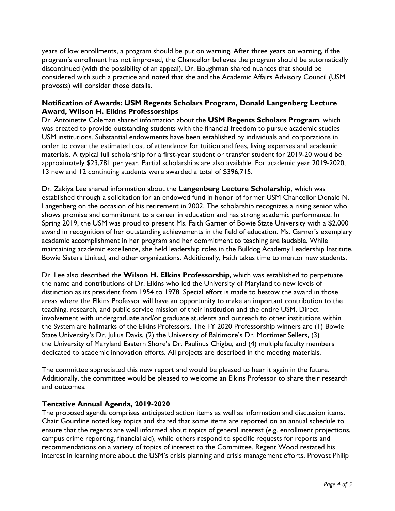years of low enrollments, a program should be put on warning. After three years on warning, if the program's enrollment has not improved, the Chancellor believes the program should be automatically discontinued (with the possibility of an appeal). Dr. Boughman shared nuances that should be considered with such a practice and noted that she and the Academic Affairs Advisory Council (USM provosts) will consider those details.

## **Notification of Awards: USM Regents Scholars Program, Donald Langenberg Lecture Award, Wilson H. Elkins Professorships**

Dr. Antoinette Coleman shared information about the **USM Regents Scholars Program**, which was created to provide outstanding students with the financial freedom to pursue academic studies USM institutions. Substantial endowments have been established by individuals and corporations in order to cover the estimated cost of attendance for tuition and fees, living expenses and academic materials. A typical full scholarship for a first-year student or transfer student for 2019-20 would be approximately \$23,781 per year. Partial scholarships are also available. For academic year 2019-2020, 13 new and 12 continuing students were awarded a total of \$396,715.

Dr. Zakiya Lee shared information about the **Langenberg Lecture Scholarship**, which was established through a solicitation for an endowed fund in honor of former USM Chancellor Donald N. Langenberg on the occasion of his retirement in 2002. The scholarship recognizes a rising senior who shows promise and commitment to a career in education and has strong academic performance. In Spring 2019, the USM was proud to present Ms. Faith Garner of Bowie State University with a \$2,000 award in recognition of her outstanding achievements in the field of education. Ms. Garner's exemplary academic accomplishment in her program and her commitment to teaching are laudable. While maintaining academic excellence, she held leadership roles in the Bulldog Academy Leadership Institute, Bowie Sisters United, and other organizations. Additionally, Faith takes time to mentor new students.

Dr. Lee also described the **Wilson H. Elkins Professorship**, which was established to perpetuate the name and contributions of Dr. Elkins who led the University of Maryland to new levels of distinction as its president from 1954 to 1978. Special effort is made to bestow the award in those areas where the Elkins Professor will have an opportunity to make an important contribution to the teaching, research, and public service mission of their institution and the entire USM. Direct involvement with undergraduate and/or graduate students and outreach to other institutions within the System are hallmarks of the Elkins Professors. The FY 2020 Professorship winners are (1) Bowie State University's Dr. Julius Davis, (2) the University of Baltimore's Dr. Mortimer Sellers, (3) the University of Maryland Eastern Shore's Dr. Paulinus Chigbu, and (4) multiple faculty members dedicated to academic innovation efforts. All projects are described in the meeting materials.

The committee appreciated this new report and would be pleased to hear it again in the future. Additionally, the committee would be pleased to welcome an Elkins Professor to share their research and outcomes.

## **Tentative Annual Agenda, 2019-2020**

The proposed agenda comprises anticipated action items as well as information and discussion items. Chair Gourdine noted key topics and shared that some items are reported on an annual schedule to ensure that the regents are well informed about topics of general interest (e.g. enrollment projections, campus crime reporting, financial aid), while others respond to specific requests for reports and recommendations on a variety of topics of interest to the Committee. Regent Wood restated his interest in learning more about the USM's crisis planning and crisis management efforts. Provost Philip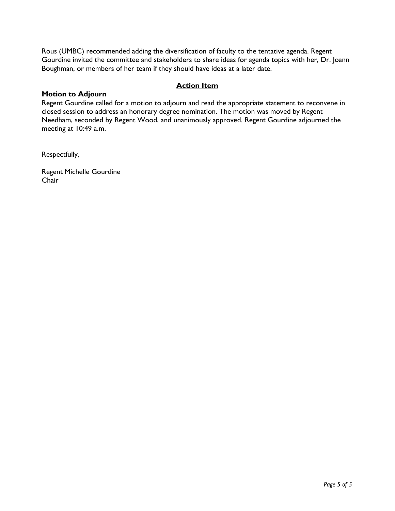Rous (UMBC) recommended adding the diversification of faculty to the tentative agenda. Regent Gourdine invited the committee and stakeholders to share ideas for agenda topics with her, Dr. Joann Boughman, or members of her team if they should have ideas at a later date.

## **Action Item**

#### **Motion to Adjourn**

Regent Gourdine called for a motion to adjourn and read the appropriate statement to reconvene in closed session to address an honorary degree nomination. The motion was moved by Regent Needham, seconded by Regent Wood, and unanimously approved. Regent Gourdine adjourned the meeting at 10:49 a.m.

Respectfully,

Regent Michelle Gourdine Chair